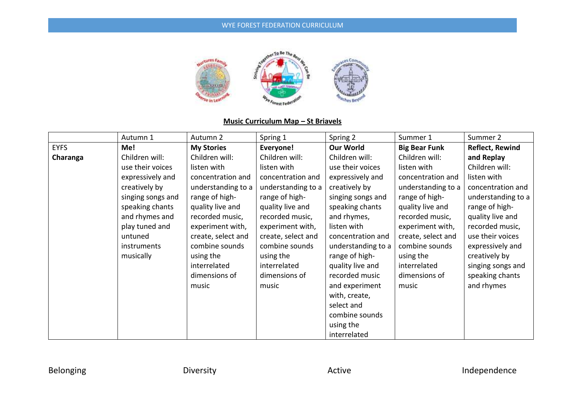

# **Music Curriculum Map – St Briavels**

|             | Autumn 1          | Autumn 2           | Spring 1           | Spring 2           | Summer 1             | Summer 2               |
|-------------|-------------------|--------------------|--------------------|--------------------|----------------------|------------------------|
| <b>EYFS</b> | Me!               | <b>My Stories</b>  | Everyone!          | <b>Our World</b>   | <b>Big Bear Funk</b> | <b>Reflect, Rewind</b> |
| Charanga    | Children will:    | Children will:     | Children will:     | Children will:     | Children will:       | and Replay             |
|             | use their voices  | listen with        | listen with        | use their voices   | listen with          | Children will:         |
|             | expressively and  | concentration and  | concentration and  | expressively and   | concentration and    | listen with            |
|             | creatively by     | understanding to a | understanding to a | creatively by      | understanding to a   | concentration and      |
|             | singing songs and | range of high-     | range of high-     | singing songs and  | range of high-       | understanding to a     |
|             | speaking chants   | quality live and   | quality live and   | speaking chants    | quality live and     | range of high-         |
|             | and rhymes and    | recorded music,    | recorded music,    | and rhymes,        | recorded music,      | quality live and       |
|             | play tuned and    | experiment with,   | experiment with,   | listen with        | experiment with,     | recorded music,        |
|             | untuned           | create, select and | create, select and | concentration and  | create, select and   | use their voices       |
|             | instruments       | combine sounds     | combine sounds     | understanding to a | combine sounds       | expressively and       |
|             | musically         | using the          | using the          | range of high-     | using the            | creatively by          |
|             |                   | interrelated       | interrelated       | quality live and   | interrelated         | singing songs and      |
|             |                   | dimensions of      | dimensions of      | recorded music     | dimensions of        | speaking chants        |
|             |                   | music              | music              | and experiment     | music                | and rhymes             |
|             |                   |                    |                    | with, create,      |                      |                        |
|             |                   |                    |                    | select and         |                      |                        |
|             |                   |                    |                    | combine sounds     |                      |                        |
|             |                   |                    |                    | using the          |                      |                        |
|             |                   |                    |                    | interrelated       |                      |                        |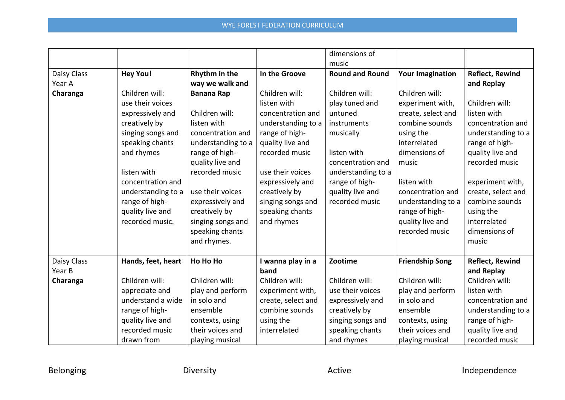|                       |                    |                    |                           | dimensions of          |                         |                              |
|-----------------------|--------------------|--------------------|---------------------------|------------------------|-------------------------|------------------------------|
|                       |                    |                    |                           | music                  |                         |                              |
| Daisy Class           | <b>Hey You!</b>    | Rhythm in the      | In the Groove             | <b>Round and Round</b> | <b>Your Imagination</b> | <b>Reflect, Rewind</b>       |
| Year A                |                    | way we walk and    |                           |                        |                         | and Replay                   |
| Charanga              | Children will:     | <b>Banana Rap</b>  | Children will:            | Children will:         | Children will:          |                              |
|                       | use their voices   |                    | listen with               | play tuned and         | experiment with,        | Children will:               |
|                       | expressively and   | Children will:     | concentration and         | untuned                | create, select and      | listen with                  |
|                       | creatively by      | listen with        | understanding to a        | instruments            | combine sounds          | concentration and            |
|                       | singing songs and  | concentration and  | range of high-            | musically              | using the               | understanding to a           |
|                       | speaking chants    | understanding to a | quality live and          |                        | interrelated            | range of high-               |
|                       | and rhymes         | range of high-     | recorded music            | listen with            | dimensions of           | quality live and             |
|                       |                    | quality live and   |                           | concentration and      | music                   | recorded music               |
|                       | listen with        | recorded music     | use their voices          | understanding to a     |                         |                              |
|                       | concentration and  |                    | expressively and          | range of high-         | listen with             | experiment with,             |
|                       | understanding to a | use their voices   | creatively by             | quality live and       | concentration and       | create, select and           |
|                       | range of high-     | expressively and   | singing songs and         | recorded music         | understanding to a      | combine sounds               |
|                       | quality live and   | creatively by      | speaking chants           |                        | range of high-          | using the                    |
|                       | recorded music.    | singing songs and  | and rhymes                |                        | quality live and        | interrelated                 |
|                       |                    | speaking chants    |                           |                        | recorded music          | dimensions of                |
|                       |                    | and rhymes.        |                           |                        |                         | music                        |
|                       |                    |                    |                           |                        |                         |                              |
| Daisy Class<br>Year B | Hands, feet, heart | Ho Ho Ho           | I wanna play in a<br>band | Zootime                | <b>Friendship Song</b>  | <b>Reflect, Rewind</b>       |
|                       |                    | Children will:     | Children will:            | Children will:         | Children will:          | and Replay<br>Children will: |
| Charanga              | Children will:     |                    |                           |                        |                         |                              |
|                       | appreciate and     | play and perform   | experiment with,          | use their voices       | play and perform        | listen with                  |
|                       | understand a wide  | in solo and        | create, select and        | expressively and       | in solo and             | concentration and            |
|                       | range of high-     | ensemble           | combine sounds            | creatively by          | ensemble                | understanding to a           |
|                       | quality live and   | contexts, using    | using the                 | singing songs and      | contexts, using         | range of high-               |
|                       | recorded music     | their voices and   | interrelated              | speaking chants        | their voices and        | quality live and             |
|                       | drawn from         | playing musical    |                           | and rhymes             | playing musical         | recorded music               |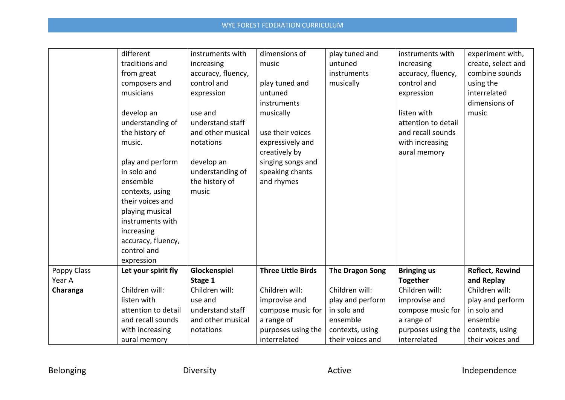|             | different           | instruments with   | dimensions of             | play tuned and         | instruments with    | experiment with,       |
|-------------|---------------------|--------------------|---------------------------|------------------------|---------------------|------------------------|
|             | traditions and      | increasing         | music                     | untuned                | increasing          | create, select and     |
|             | from great          | accuracy, fluency, |                           | instruments            | accuracy, fluency,  | combine sounds         |
|             | composers and       | control and        | play tuned and            | musically              | control and         | using the              |
|             | musicians           | expression         | untuned                   |                        | expression          | interrelated           |
|             |                     |                    | instruments               |                        |                     | dimensions of          |
|             | develop an          | use and            | musically                 |                        | listen with         | music                  |
|             | understanding of    | understand staff   |                           |                        | attention to detail |                        |
|             | the history of      | and other musical  | use their voices          |                        | and recall sounds   |                        |
|             | music.              | notations          | expressively and          |                        | with increasing     |                        |
|             |                     |                    | creatively by             |                        | aural memory        |                        |
|             | play and perform    | develop an         | singing songs and         |                        |                     |                        |
|             | in solo and         | understanding of   | speaking chants           |                        |                     |                        |
|             | ensemble            | the history of     | and rhymes                |                        |                     |                        |
|             | contexts, using     | music              |                           |                        |                     |                        |
|             | their voices and    |                    |                           |                        |                     |                        |
|             | playing musical     |                    |                           |                        |                     |                        |
|             | instruments with    |                    |                           |                        |                     |                        |
|             | increasing          |                    |                           |                        |                     |                        |
|             | accuracy, fluency,  |                    |                           |                        |                     |                        |
|             | control and         |                    |                           |                        |                     |                        |
|             | expression          |                    |                           |                        |                     |                        |
| Poppy Class | Let your spirit fly | Glockenspiel       | <b>Three Little Birds</b> | <b>The Dragon Song</b> | <b>Bringing us</b>  | <b>Reflect, Rewind</b> |
| Year A      |                     | Stage 1            |                           |                        | <b>Together</b>     | and Replay             |
| Charanga    | Children will:      | Children will:     | Children will:            | Children will:         | Children will:      | Children will:         |
|             | listen with         | use and            | improvise and             | play and perform       | improvise and       | play and perform       |
|             | attention to detail | understand staff   | compose music for         | in solo and            | compose music for   | in solo and            |
|             | and recall sounds   | and other musical  | a range of                | ensemble               | a range of          | ensemble               |
|             | with increasing     | notations          | purposes using the        | contexts, using        | purposes using the  | contexts, using        |
|             | aural memory        |                    | interrelated              | their voices and       | interrelated        | their voices and       |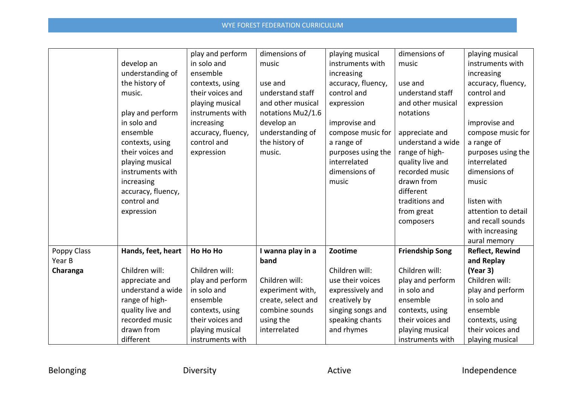|             |                    | play and perform   | dimensions of      | playing musical    | dimensions of          | playing musical        |
|-------------|--------------------|--------------------|--------------------|--------------------|------------------------|------------------------|
|             | develop an         | in solo and        | music              | instruments with   | music                  | instruments with       |
|             | understanding of   | ensemble           |                    | increasing         |                        | increasing             |
|             | the history of     | contexts, using    | use and            | accuracy, fluency, | use and                | accuracy, fluency,     |
|             | music.             | their voices and   | understand staff   | control and        | understand staff       | control and            |
|             |                    | playing musical    | and other musical  | expression         | and other musical      | expression             |
|             | play and perform   | instruments with   | notations Mu2/1.6  |                    | notations              |                        |
|             | in solo and        | increasing         | develop an         | improvise and      |                        | improvise and          |
|             | ensemble           | accuracy, fluency, | understanding of   | compose music for  | appreciate and         | compose music for      |
|             | contexts, using    | control and        | the history of     | a range of         | understand a wide      | a range of             |
|             | their voices and   | expression         | music.             | purposes using the | range of high-         | purposes using the     |
|             | playing musical    |                    |                    | interrelated       | quality live and       | interrelated           |
|             | instruments with   |                    |                    | dimensions of      | recorded music         | dimensions of          |
|             | increasing         |                    |                    | music              | drawn from             | music                  |
|             | accuracy, fluency, |                    |                    |                    | different              |                        |
|             | control and        |                    |                    |                    | traditions and         | listen with            |
|             | expression         |                    |                    |                    | from great             | attention to detail    |
|             |                    |                    |                    |                    | composers              | and recall sounds      |
|             |                    |                    |                    |                    |                        | with increasing        |
|             |                    |                    |                    |                    |                        | aural memory           |
| Poppy Class | Hands, feet, heart | Ho Ho Ho           | I wanna play in a  | Zootime            | <b>Friendship Song</b> | <b>Reflect, Rewind</b> |
| Year B      |                    |                    | band               |                    |                        | and Replay             |
| Charanga    | Children will:     | Children will:     |                    | Children will:     | Children will:         | (Year 3)               |
|             | appreciate and     | play and perform   | Children will:     | use their voices   | play and perform       | Children will:         |
|             | understand a wide  | in solo and        | experiment with,   | expressively and   | in solo and            | play and perform       |
|             | range of high-     | ensemble           | create, select and | creatively by      | ensemble               | in solo and            |
|             | quality live and   | contexts, using    | combine sounds     | singing songs and  | contexts, using        | ensemble               |
|             | recorded music     | their voices and   | using the          | speaking chants    | their voices and       | contexts, using        |
|             | drawn from         | playing musical    | interrelated       | and rhymes         | playing musical        | their voices and       |
|             | different          | instruments with   |                    |                    | instruments with       | playing musical        |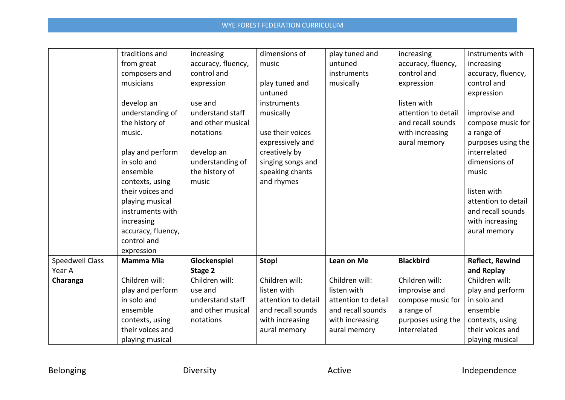|                                  | traditions and<br>from great<br>composers and<br>musicians<br>develop an<br>understanding of<br>the history of                                                                                       | increasing<br>accuracy, fluency,<br>control and<br>expression<br>use and<br>understand staff<br>and other musical | dimensions of<br>music<br>play tuned and<br>untuned<br>instruments<br>musically                              | play tuned and<br>untuned<br>instruments<br>musically                                                        | increasing<br>accuracy, fluency,<br>control and<br>expression<br>listen with<br>attention to detail<br>and recall sounds | instruments with<br>increasing<br>accuracy, fluency,<br>control and<br>expression<br>improvise and<br>compose music for                                                  |
|----------------------------------|------------------------------------------------------------------------------------------------------------------------------------------------------------------------------------------------------|-------------------------------------------------------------------------------------------------------------------|--------------------------------------------------------------------------------------------------------------|--------------------------------------------------------------------------------------------------------------|--------------------------------------------------------------------------------------------------------------------------|--------------------------------------------------------------------------------------------------------------------------------------------------------------------------|
|                                  | music.<br>play and perform<br>in solo and<br>ensemble<br>contexts, using<br>their voices and<br>playing musical<br>instruments with<br>increasing<br>accuracy, fluency,<br>control and<br>expression | notations<br>develop an<br>understanding of<br>the history of<br>music                                            | use their voices<br>expressively and<br>creatively by<br>singing songs and<br>speaking chants<br>and rhymes  |                                                                                                              | with increasing<br>aural memory                                                                                          | a range of<br>purposes using the<br>interrelated<br>dimensions of<br>music<br>listen with<br>attention to detail<br>and recall sounds<br>with increasing<br>aural memory |
| <b>Speedwell Class</b><br>Year A | <b>Mamma Mia</b>                                                                                                                                                                                     | Glockenspiel<br>Stage 2                                                                                           | Stop!                                                                                                        | Lean on Me                                                                                                   | <b>Blackbird</b>                                                                                                         | <b>Reflect, Rewind</b><br>and Replay                                                                                                                                     |
| Charanga                         | Children will:<br>play and perform<br>in solo and<br>ensemble<br>contexts, using<br>their voices and<br>playing musical                                                                              | Children will:<br>use and<br>understand staff<br>and other musical<br>notations                                   | Children will:<br>listen with<br>attention to detail<br>and recall sounds<br>with increasing<br>aural memory | Children will:<br>listen with<br>attention to detail<br>and recall sounds<br>with increasing<br>aural memory | Children will:<br>improvise and<br>compose music for<br>a range of<br>purposes using the<br>interrelated                 | Children will:<br>play and perform<br>in solo and<br>ensemble<br>contexts, using<br>their voices and<br>playing musical                                                  |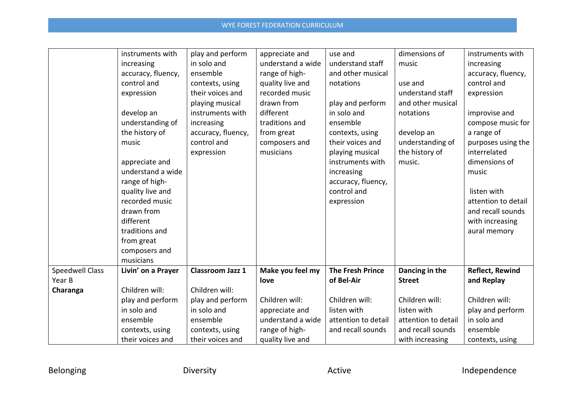|                        | instruments with   | play and perform        | appreciate and    | use and                 | dimensions of       | instruments with       |
|------------------------|--------------------|-------------------------|-------------------|-------------------------|---------------------|------------------------|
|                        | increasing         | in solo and             | understand a wide | understand staff        | music               | increasing             |
|                        | accuracy, fluency, | ensemble                | range of high-    | and other musical       |                     | accuracy, fluency,     |
|                        | control and        | contexts, using         | quality live and  | notations               | use and             | control and            |
|                        | expression         | their voices and        | recorded music    |                         | understand staff    | expression             |
|                        |                    | playing musical         | drawn from        | play and perform        | and other musical   |                        |
|                        | develop an         | instruments with        | different         | in solo and             | notations           | improvise and          |
|                        | understanding of   | increasing              | traditions and    | ensemble                |                     | compose music for      |
|                        | the history of     | accuracy, fluency,      | from great        | contexts, using         | develop an          | a range of             |
|                        | music              | control and             | composers and     | their voices and        | understanding of    | purposes using the     |
|                        |                    | expression              | musicians         | playing musical         | the history of      | interrelated           |
|                        | appreciate and     |                         |                   | instruments with        | music.              | dimensions of          |
|                        | understand a wide  |                         |                   | increasing              |                     | music                  |
|                        | range of high-     |                         |                   | accuracy, fluency,      |                     |                        |
|                        | quality live and   |                         |                   | control and             |                     | listen with            |
|                        | recorded music     |                         |                   | expression              |                     | attention to detail    |
|                        | drawn from         |                         |                   |                         |                     | and recall sounds      |
|                        | different          |                         |                   |                         |                     | with increasing        |
|                        | traditions and     |                         |                   |                         |                     | aural memory           |
|                        | from great         |                         |                   |                         |                     |                        |
|                        | composers and      |                         |                   |                         |                     |                        |
|                        | musicians          |                         |                   |                         |                     |                        |
| <b>Speedwell Class</b> | Livin' on a Prayer | <b>Classroom Jazz 1</b> | Make you feel my  | <b>The Fresh Prince</b> | Dancing in the      | <b>Reflect, Rewind</b> |
| Year B                 |                    |                         | love              | of Bel-Air              | <b>Street</b>       | and Replay             |
| Charanga               | Children will:     | Children will:          |                   |                         |                     |                        |
|                        | play and perform   | play and perform        | Children will:    | Children will:          | Children will:      | Children will:         |
|                        | in solo and        | in solo and             | appreciate and    | listen with             | listen with         | play and perform       |
|                        | ensemble           | ensemble                | understand a wide | attention to detail     | attention to detail | in solo and            |
|                        | contexts, using    | contexts, using         | range of high-    | and recall sounds       | and recall sounds   | ensemble               |
|                        | their voices and   | their voices and        | quality live and  |                         | with increasing     | contexts, using        |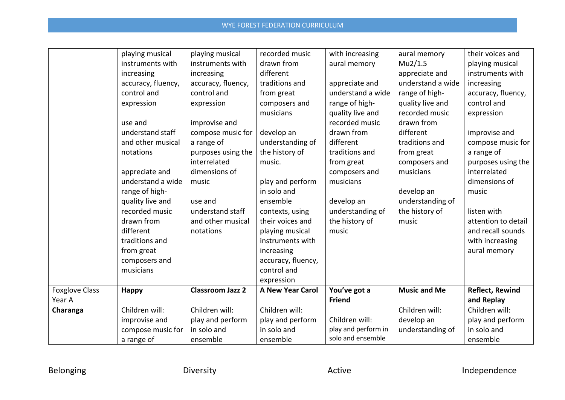|                       | playing musical    | playing musical         | recorded music          | with increasing     | aural memory        | their voices and       |
|-----------------------|--------------------|-------------------------|-------------------------|---------------------|---------------------|------------------------|
|                       | instruments with   | instruments with        | drawn from              | aural memory        | Mu2/1.5             |                        |
|                       |                    |                         |                         |                     |                     | playing musical        |
|                       | increasing         | increasing              | different               |                     | appreciate and      | instruments with       |
|                       | accuracy, fluency, | accuracy, fluency,      | traditions and          | appreciate and      | understand a wide   | increasing             |
|                       | control and        | control and             | from great              | understand a wide   | range of high-      | accuracy, fluency,     |
|                       | expression         | expression              | composers and           | range of high-      | quality live and    | control and            |
|                       |                    |                         | musicians               | quality live and    | recorded music      | expression             |
|                       | use and            | improvise and           |                         | recorded music      | drawn from          |                        |
|                       | understand staff   | compose music for       | develop an              | drawn from          | different           | improvise and          |
|                       | and other musical  | a range of              | understanding of        | different           | traditions and      | compose music for      |
|                       | notations          | purposes using the      | the history of          | traditions and      | from great          | a range of             |
|                       |                    | interrelated            | music.                  | from great          | composers and       | purposes using the     |
|                       | appreciate and     | dimensions of           |                         | composers and       | musicians           | interrelated           |
|                       | understand a wide  | music                   | play and perform        | musicians           |                     | dimensions of          |
|                       | range of high-     |                         | in solo and             |                     | develop an          | music                  |
|                       | quality live and   | use and                 | ensemble                | develop an          | understanding of    |                        |
|                       | recorded music     | understand staff        | contexts, using         | understanding of    | the history of      | listen with            |
|                       | drawn from         | and other musical       | their voices and        | the history of      | music               | attention to detail    |
|                       | different          | notations               | playing musical         | music               |                     | and recall sounds      |
|                       | traditions and     |                         | instruments with        |                     |                     | with increasing        |
|                       | from great         |                         | increasing              |                     |                     | aural memory           |
|                       | composers and      |                         | accuracy, fluency,      |                     |                     |                        |
|                       | musicians          |                         | control and             |                     |                     |                        |
|                       |                    |                         | expression              |                     |                     |                        |
| <b>Foxglove Class</b> | <b>Happy</b>       | <b>Classroom Jazz 2</b> | <b>A New Year Carol</b> | You've got a        | <b>Music and Me</b> | <b>Reflect, Rewind</b> |
| Year A                |                    |                         |                         | <b>Friend</b>       |                     | and Replay             |
| Charanga              | Children will:     | Children will:          | Children will:          |                     | Children will:      | Children will:         |
|                       | improvise and      | play and perform        | play and perform        | Children will:      | develop an          | play and perform       |
|                       | compose music for  | in solo and             | in solo and             | play and perform in | understanding of    | in solo and            |
|                       | a range of         | ensemble                | ensemble                | solo and ensemble   |                     | ensemble               |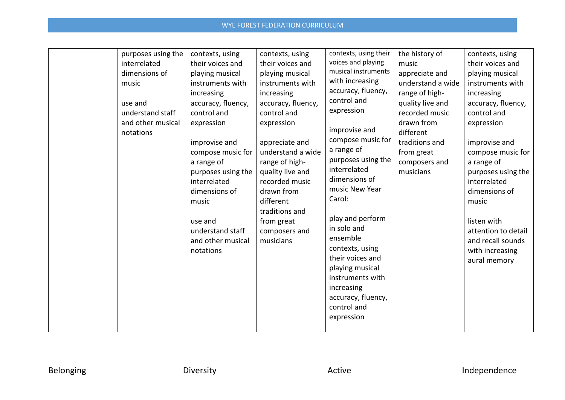| purposes using the<br>interrelated<br>dimensions of<br>music  | contexts, using<br>their voices and<br>playing musical<br>instruments with<br>increasing<br>accuracy, fluency,                                                                                    | contexts, using<br>their voices and<br>playing musical<br>instruments with<br>increasing                                                                                                                                                | contexts, using their<br>voices and playing<br>musical instruments<br>with increasing<br>accuracy, fluency,                                                                                                     | the history of<br>music<br>appreciate and<br>understand a wide<br>range of high-                                            | contexts, using<br>their voices and<br>playing musical<br>instruments with<br>increasing                                                                                                                                       |
|---------------------------------------------------------------|---------------------------------------------------------------------------------------------------------------------------------------------------------------------------------------------------|-----------------------------------------------------------------------------------------------------------------------------------------------------------------------------------------------------------------------------------------|-----------------------------------------------------------------------------------------------------------------------------------------------------------------------------------------------------------------|-----------------------------------------------------------------------------------------------------------------------------|--------------------------------------------------------------------------------------------------------------------------------------------------------------------------------------------------------------------------------|
| use and<br>understand staff<br>and other musical<br>notations | control and<br>expression<br>improvise and<br>compose music for<br>a range of<br>purposes using the<br>interrelated<br>dimensions of<br>music<br>use and<br>understand staff<br>and other musical | accuracy, fluency,<br>control and<br>expression<br>appreciate and<br>understand a wide<br>range of high-<br>quality live and<br>recorded music<br>drawn from<br>different<br>traditions and<br>from great<br>composers and<br>musicians | control and<br>expression<br>improvise and<br>compose music for<br>a range of<br>purposes using the<br>interrelated<br>dimensions of<br>music New Year<br>Carol:<br>play and perform<br>in solo and<br>ensemble | quality live and<br>recorded music<br>drawn from<br>different<br>traditions and<br>from great<br>composers and<br>musicians | accuracy, fluency,<br>control and<br>expression<br>improvise and<br>compose music for<br>a range of<br>purposes using the<br>interrelated<br>dimensions of<br>music<br>listen with<br>attention to detail<br>and recall sounds |
|                                                               | notations                                                                                                                                                                                         |                                                                                                                                                                                                                                         | contexts, using<br>their voices and<br>playing musical<br>instruments with<br>increasing<br>accuracy, fluency,<br>control and<br>expression                                                                     |                                                                                                                             | with increasing<br>aural memory                                                                                                                                                                                                |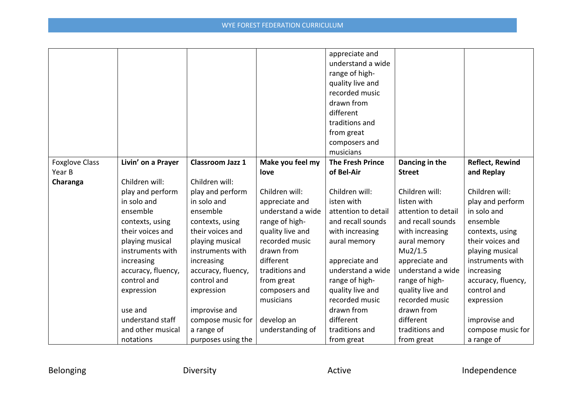|                       |                    |                         |                   | appreciate and          |                     |                        |
|-----------------------|--------------------|-------------------------|-------------------|-------------------------|---------------------|------------------------|
|                       |                    |                         |                   | understand a wide       |                     |                        |
|                       |                    |                         |                   | range of high-          |                     |                        |
|                       |                    |                         |                   | quality live and        |                     |                        |
|                       |                    |                         |                   | recorded music          |                     |                        |
|                       |                    |                         |                   | drawn from              |                     |                        |
|                       |                    |                         |                   | different               |                     |                        |
|                       |                    |                         |                   | traditions and          |                     |                        |
|                       |                    |                         |                   | from great              |                     |                        |
|                       |                    |                         |                   | composers and           |                     |                        |
|                       |                    |                         |                   | musicians               |                     |                        |
| <b>Foxglove Class</b> | Livin' on a Prayer | <b>Classroom Jazz 1</b> | Make you feel my  | <b>The Fresh Prince</b> | Dancing in the      | <b>Reflect, Rewind</b> |
| Year B                |                    |                         | love              | of Bel-Air              | <b>Street</b>       | and Replay             |
| Charanga              | Children will:     | Children will:          |                   |                         |                     |                        |
|                       | play and perform   | play and perform        | Children will:    | Children will:          | Children will:      | Children will:         |
|                       | in solo and        | in solo and             | appreciate and    | isten with              | listen with         | play and perform       |
|                       | ensemble           | ensemble                | understand a wide | attention to detail     | attention to detail | in solo and            |
|                       | contexts, using    | contexts, using         | range of high-    | and recall sounds       | and recall sounds   | ensemble               |
|                       | their voices and   | their voices and        | quality live and  | with increasing         | with increasing     | contexts, using        |
|                       | playing musical    | playing musical         | recorded music    | aural memory            | aural memory        | their voices and       |
|                       | instruments with   | instruments with        | drawn from        |                         | Mu2/1.5             | playing musical        |
|                       | increasing         | increasing              | different         | appreciate and          | appreciate and      | instruments with       |
|                       | accuracy, fluency, | accuracy, fluency,      | traditions and    | understand a wide       | understand a wide   | increasing             |
|                       | control and        | control and             | from great        | range of high-          | range of high-      | accuracy, fluency,     |
|                       | expression         | expression              | composers and     | quality live and        | quality live and    | control and            |
|                       |                    |                         | musicians         | recorded music          | recorded music      | expression             |
|                       | use and            | improvise and           |                   | drawn from              | drawn from          |                        |
|                       | understand staff   | compose music for       | develop an        | different               | different           | improvise and          |
|                       | and other musical  | a range of              | understanding of  | traditions and          | traditions and      | compose music for      |
|                       | notations          | purposes using the      |                   | from great              | from great          | a range of             |